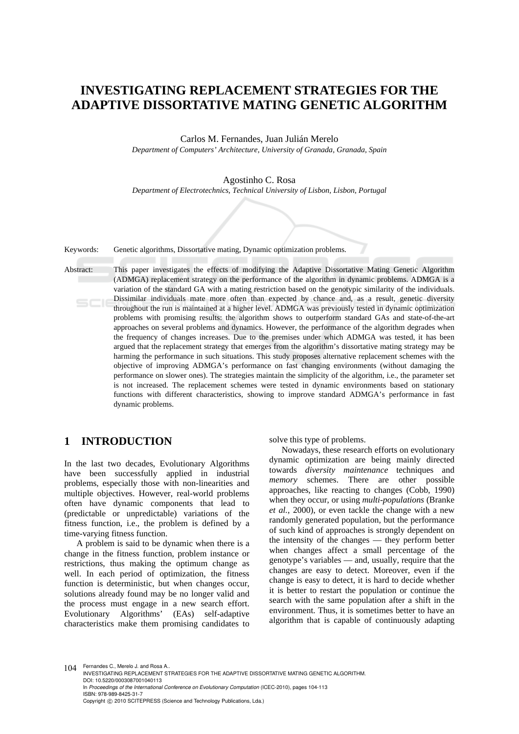# **INVESTIGATING REPLACEMENT STRATEGIES FOR THE ADAPTIVE DISSORTATIVE MATING GENETIC ALGORITHM**

Carlos M. Fernandes, Juan Julián Merelo

*Department of Computers' Architecture, University of Granada, Granada, Spain* 

#### Agostinho C. Rosa

*Department of Electrotechnics, Technical University of Lisbon, Lisbon, Portugal* 

Keywords: Genetic algorithms, Dissortative mating, Dynamic optimization problems.

Abstract: This paper investigates the effects of modifying the Adaptive Dissortative Mating Genetic Algorithm (ADMGA) replacement strategy on the performance of the algorithm in dynamic problems. ADMGA is a variation of the standard GA with a mating restriction based on the genotypic similarity of the individuals. Dissimilar individuals mate more often than expected by chance and, as a result, genetic diversity  $SCI$ throughout the run is maintained at a higher level. ADMGA was previously tested in dynamic optimization problems with promising results: the algorithm shows to outperform standard GAs and state-of-the-art approaches on several problems and dynamics. However, the performance of the algorithm degrades when the frequency of changes increases. Due to the premises under which ADMGA was tested, it has been argued that the replacement strategy that emerges from the algorithm's dissortative mating strategy may be harming the performance in such situations. This study proposes alternative replacement schemes with the objective of improving ADMGA's performance on fast changing environments (without damaging the performance on slower ones). The strategies maintain the simplicity of the algorithm, i.e., the parameter set is not increased. The replacement schemes were tested in dynamic environments based on stationary functions with different characteristics, showing to improve standard ADMGA's performance in fast dynamic problems.

### **1 INTRODUCTION**

In the last two decades, Evolutionary Algorithms have been successfully applied in industrial problems, especially those with non-linearities and multiple objectives. However, real-world problems often have dynamic components that lead to (predictable or unpredictable) variations of the fitness function, i.e., the problem is defined by a time-varying fitness function.

A problem is said to be dynamic when there is a change in the fitness function, problem instance or restrictions, thus making the optimum change as well. In each period of optimization, the fitness function is deterministic, but when changes occur, solutions already found may be no longer valid and the process must engage in a new search effort. Evolutionary Algorithms' (EAs) self-adaptive characteristics make them promising candidates to

solve this type of problems.

Nowadays, these research efforts on evolutionary dynamic optimization are being mainly directed towards *diversity maintenance* techniques and *memory* schemes. There are other possible approaches, like reacting to changes (Cobb, 1990) when they occur, or using *multi-populations* (Branke *et al.*, 2000), or even tackle the change with a new randomly generated population, but the performance of such kind of approaches is strongly dependent on the intensity of the changes — they perform better when changes affect a small percentage of the genotype's variables — and, usually, require that the changes are easy to detect. Moreover, even if the change is easy to detect, it is hard to decide whether it is better to restart the population or continue the search with the same population after a shift in the environment. Thus, it is sometimes better to have an algorithm that is capable of continuously adapting

104 Fernandes C., Merelo J. and Rosa A. INVESTIGATING REPLACEMENT STRATEGIES FOR THE ADAPTIVE DISSORTATIVE MATING GENETIC ALGORITHM. DOI: 10.5220/0003087001040113 In *Proceedings of the International Conference on Evolutionary Computation* (ICEC-2010), pages 104-113 ISBN: 978-989-8425-31-7 Copyright © 2010 SCITEPRESS (Science and Technology Publications, Lda.)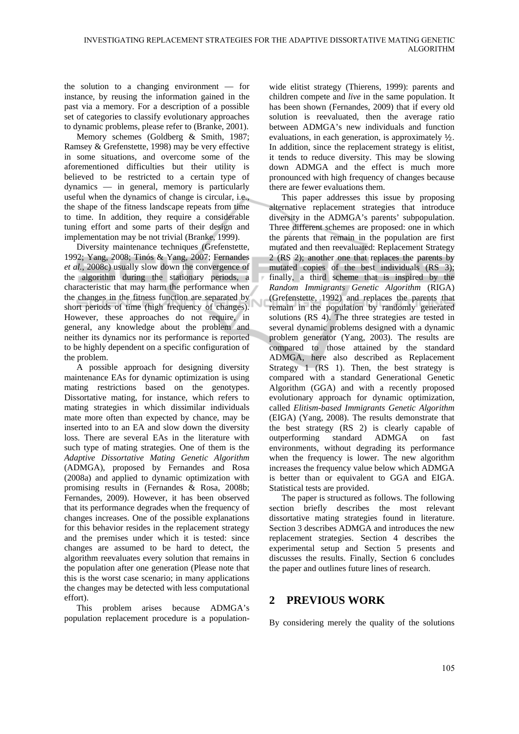the solution to a changing environment — for instance, by reusing the information gained in the past via a memory. For a description of a possible set of categories to classify evolutionary approaches to dynamic problems, please refer to (Branke, 2001).

Memory schemes (Goldberg & Smith, 1987; Ramsey & Grefenstette, 1998) may be very effective in some situations, and overcome some of the aforementioned difficulties but their utility is believed to be restricted to a certain type of dynamics — in general, memory is particularly useful when the dynamics of change is circular, i.e., the shape of the fitness landscape repeats from time to time. In addition, they require a considerable tuning effort and some parts of their design and implementation may be not trivial (Branke, 1999).

Diversity maintenance techniques (Grefenstette, 1992; Yang, 2008; Tinós & Yang, 2007; Fernandes *et al.*, 2008c) usually slow down the convergence of the algorithm during the stationary periods, a characteristic that may harm the performance when the changes in the fitness function are separated by short periods of time (high frequency of changes). However, these approaches do not require, in general, any knowledge about the problem and neither its dynamics nor its performance is reported to be highly dependent on a specific configuration of the problem.

A possible approach for designing diversity maintenance EAs for dynamic optimization is using mating restrictions based on the genotypes. Dissortative mating, for instance, which refers to mating strategies in which dissimilar individuals mate more often than expected by chance, may be inserted into to an EA and slow down the diversity loss. There are several EAs in the literature with such type of mating strategies. One of them is the *Adaptive Dissortative Mating Genetic Algorithm* (ADMGA), proposed by Fernandes and Rosa (2008a) and applied to dynamic optimization with promising results in (Fernandes & Rosa, 2008b; Fernandes, 2009). However, it has been observed that its performance degrades when the frequency of changes increases. One of the possible explanations for this behavior resides in the replacement strategy and the premises under which it is tested: since changes are assumed to be hard to detect, the algorithm reevaluates every solution that remains in the population after one generation (Please note that this is the worst case scenario; in many applications the changes may be detected with less computational effort).

This problem arises because ADMGA's population replacement procedure is a population-

wide elitist strategy (Thierens, 1999): parents and children compete and *live* in the same population. It has been shown (Fernandes, 2009) that if every old solution is reevaluated, then the average ratio between ADMGA's new individuals and function evaluations, in each generation, is approximately ½. In addition, since the replacement strategy is elitist, it tends to reduce diversity. This may be slowing down ADMGA and the effect is much more pronounced with high frequency of changes because there are fewer evaluations them.

This paper addresses this issue by proposing alternative replacement strategies that introduce diversity in the ADMGA's parents' subpopulation. Three different schemes are proposed: one in which the parents that remain in the population are first mutated and then reevaluated: Replacement Strategy 2 (RS 2); another one that replaces the parents by mutated copies of the best individuals (RS 3); finally, a third scheme that is inspired by the *Random Immigrants Genetic Algorithm* (RIGA) (Grefenstette, 1992) and replaces the parents that remain in the population by randomly generated solutions (RS 4). The three strategies are tested in several dynamic problems designed with a dynamic problem generator (Yang, 2003). The results are compared to those attained by the standard ADMGA, here also described as Replacement Strategy 1 (RS 1). Then, the best strategy is compared with a standard Generational Genetic Algorithm (GGA) and with a recently proposed evolutionary approach for dynamic optimization, called *Elitism-based Immigrants Genetic Algorithm* (EIGA) (Yang, 2008). The results demonstrate that the best strategy (RS 2) is clearly capable of outperforming standard ADMGA on fast environments, without degrading its performance when the frequency is lower. The new algorithm increases the frequency value below which ADMGA is better than or equivalent to GGA and EIGA. Statistical tests are provided.

The paper is structured as follows. The following section briefly describes the most relevant dissortative mating strategies found in literature. Section 3 describes ADMGA and introduces the new replacement strategies. Section 4 describes the experimental setup and Section 5 presents and discusses the results. Finally, Section 6 concludes the paper and outlines future lines of research.

## **2 PREVIOUS WORK**

By considering merely the quality of the solutions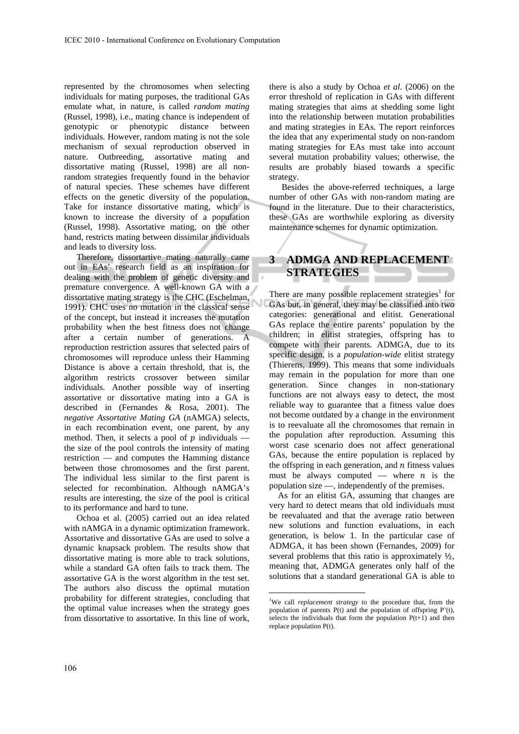represented by the chromosomes when selecting individuals for mating purposes, the traditional GAs emulate what, in nature, is called *random mating* (Russel, 1998), i.e., mating chance is independent of genotypic or phenotypic distance between individuals. However, random mating is not the sole mechanism of sexual reproduction observed in nature. Outbreeding, assortative mating and dissortative mating (Russel, 1998) are all nonrandom strategies frequently found in the behavior of natural species. These schemes have different effects on the genetic diversity of the population. Take for instance dissortative mating, which is known to increase the diversity of a population (Russel, 1998). Assortative mating, on the other hand, restricts mating between dissimilar individuals and leads to diversity loss.

Therefore, dissortartive mating naturally came out in EAs' research field as an inspiration for dealing with the problem of genetic diversity and premature convergence. A well-known GA with a dissortative mating strategy is the CHC (Eschelman, 1991). CHC uses no mutation in the classical sense of the concept, but instead it increases the mutation probability when the best fitness does not change after a certain number of generations. A reproduction restriction assures that selected pairs of chromosomes will reproduce unless their Hamming Distance is above a certain threshold, that is, the algorithm restricts crossover between similar individuals. Another possible way of inserting assortative or dissortative mating into a GA is described in (Fernandes & Rosa, 2001). The *negative Assortative Mating GA* (nAMGA) selects, in each recombination event, one parent, by any method. Then, it selects a pool of  $p$  individuals the size of the pool controls the intensity of mating restriction — and computes the Hamming distance between those chromosomes and the first parent. The individual less similar to the first parent is selected for recombination. Although nAMGA's results are interesting, the size of the pool is critical to its performance and hard to tune.

Ochoa et al. (2005) carried out an idea related with nAMGA in a dynamic optimization framework. Assortative and dissortative GAs are used to solve a dynamic knapsack problem. The results show that dissortative mating is more able to track solutions, while a standard GA often fails to track them. The assortative GA is the worst algorithm in the test set. The authors also discuss the optimal mutation probability for different strategies, concluding that the optimal value increases when the strategy goes from dissortative to assortative. In this line of work,

there is also a study by Ochoa *et al*. (2006) on the error threshold of replication in GAs with different mating strategies that aims at shedding some light into the relationship between mutation probabilities and mating strategies in EAs. The report reinforces the idea that any experimental study on non-random mating strategies for EAs must take into account several mutation probability values; otherwise, the results are probably biased towards a specific strategy.

Besides the above-referred techniques, a large number of other GAs with non-random mating are found in the literature. Due to their characteristics, these GAs are worthwhile exploring as diversity maintenance schemes for dynamic optimization.

## **3 ADMGA AND REPLACEMENT STRATEGIES**

There are many possible replacement strategies<sup>1</sup> for GAs but, in general, they may be classified into two categories: generational and elitist. Generational GAs replace the entire parents' population by the children; in elitist strategies, offspring has to compete with their parents. ADMGA, due to its specific design, is a *population-wide* elitist strategy (Thierens, 1999). This means that some individuals may remain in the population for more than one generation. Since changes in non-stationary functions are not always easy to detect, the most reliable way to guarantee that a fitness value does not become outdated by a change in the environment is to reevaluate all the chromosomes that remain in the population after reproduction. Assuming this worst case scenario does not affect generational GAs, because the entire population is replaced by the offspring in each generation, and  $n$  fitness values must be always computed — where  $n$  is the population size —, independently of the premises.

As for an elitist GA, assuming that changes are very hard to detect means that old individuals must be reevaluated and that the average ratio between new solutions and function evaluations, in each generation, is below 1. In the particular case of ADMGA, it has been shown (Fernandes, 2009) for several problems that this ratio is approximately  $\frac{1}{2}$ , meaning that, ADMGA generates only half of the solutions that a standard generational GA is able to

<sup>&</sup>lt;sup>1</sup>We call *replacement strategy* to the procedure that, from the population of parents P(t) and the population of offspring P'(t), selects the individuals that form the population  $P(t+1)$  and then replace population P(t).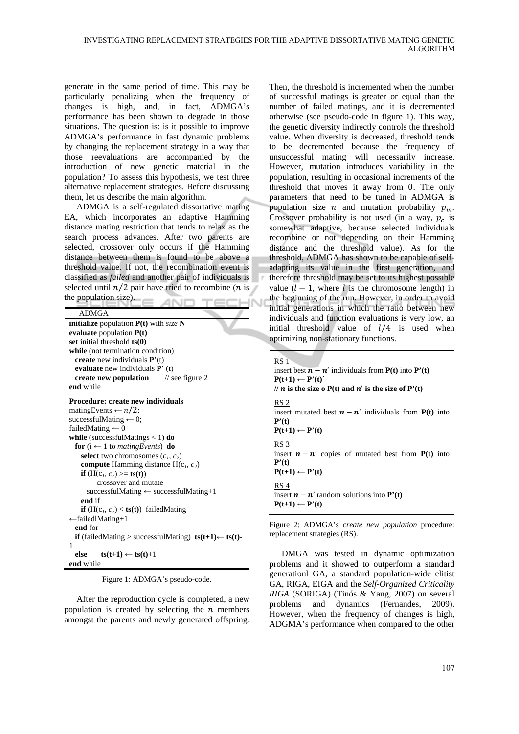generate in the same period of time. This may be particularly penalizing when the frequency of changes is high, and, in fact, ADMGA's performance has been shown to degrade in those situations. The question is: is it possible to improve ADMGA's performance in fast dynamic problems by changing the replacement strategy in a way that those reevaluations are accompanied by the introduction of new genetic material in the population? To assess this hypothesis, we test three alternative replacement strategies. Before discussing them, let us describe the main algorithm.

ADMGA is a self-regulated dissortative mating EA, which incorporates an adaptive Hamming distance mating restriction that tends to relax as the search process advances. After two parents are selected, crossover only occurs if the Hamming distance between them is found to be above a threshold value. If not, the recombination event is classified as *failed* and another pair of individuals is selected until  $n/2$  pair have tried to recombine (*n* is the population size).  $A N I$  $10-1$ 

| ADMGA |                |
|-------|----------------|
|       |                |
|       | nitialina namu |

**initialize** population **P(t)** with *size* **N evaluate** population **P(t) set** initial threshold **ts(0) while** (not termination condition)  **create** new individuals **P**'(t)  **evaluate** new individuals **P**' (t)  **create new population** // see figure 2 **end** while

| <b>Procedure: create new individuals</b>                               |
|------------------------------------------------------------------------|
| mating Events $\leftarrow$ n/2;                                        |
| successful Mating $\leftarrow 0$ ;                                     |
| failedMating $\leftarrow 0$                                            |
| while (successful Matings $<$ 1) do                                    |
| <b>for</b> $(i \leftarrow 1$ to <i>mating Events</i> ) <b>do</b>       |
| select two chromosomes $(c_1, c_2)$                                    |
| <b>compute</b> Hamming distance $H(c_1, c_2)$                          |
| <b>if</b> (H(c <sub>1</sub> , c <sub>2</sub> ) >= <b>ts(t))</b>        |
| crossover and mutate                                                   |
| successfulMating $\leftarrow$ successfulMating+1                       |
| end if                                                                 |
| <b>if</b> $(H(c_1, c_2) < t\mathbf{s}(t))$ failed Mating               |
| $\leftarrow$ failedlMating+1                                           |
| end for                                                                |
| <b>if</b> (failedMating > successfulMating) $ts(t+1) \leftarrow ts(t)$ |
| 1                                                                      |
| else $ts(t+1) \leftarrow ts(t)+1$                                      |
| end while                                                              |
|                                                                        |

Figure 1: ADMGA's pseudo-code.

After the reproduction cycle is completed, a new population is created by selecting the  $n$  members amongst the parents and newly generated offspring.

Then, the threshold is incremented when the number of successful matings is greater or equal than the number of failed matings, and it is decremented otherwise (see pseudo-code in figure 1). This way, the genetic diversity indirectly controls the threshold value. When diversity is decreased, threshold tends to be decremented because the frequency of unsuccessful mating will necessarily increase. However, mutation introduces variability in the population, resulting in occasional increments of the threshold that moves it away from 0. The only parameters that need to be tuned in ADMGA is population size *n* and mutation probability  $p_m$ . Crossover probability is not used (in a way,  $p_c$  is somewhat adaptive, because selected individuals recombine or not depending on their Hamming distance and the threshold value). As for the threshold, ADMGA has shown to be capable of selfadapting its value in the first generation, and therefore threshold may be set to its highest possible value  $(l-1,$  where l is the chromosome length) in the beginning of the run. However, in order to avoid initial generations in which the ratio between new individuals and function evaluations is very low, an initial threshold value of  $l/4$  is used when optimizing non-stationary functions.

RS 1 insert best  $n - n'$  individuals from  $P(t)$  into  $P'(t)$  $P(t+1) \leftarrow P'(t)'$  $\mathcal{U}$  **n** is the size o P(t) and **n'** is the size of P'(t) RS 2 insert mutated best  $\mathbf{n} - \mathbf{n}'$  individuals from  $P(t)$  into **P'(t)**   $P(t+1)$  ←  $P'(t)$ RS 3 insert  $n - n'$  copies of mutated best from  $P(t)$  into **P'(t)**  $P(t+1)$  ←  $P'(t)$ RS 4 insert  $n - n'$  random solutions into  $P'(t)$  $P(t+1)$  ←  $P'(t)$ 

Figure 2: ADMGA's *create new population* procedure: replacement strategies (RS).

DMGA was tested in dynamic optimization problems and it showed to outperform a standard generationl GA, a standard population-wide elitist GA, RIGA, EIGA and the *Self-Organized Criticality RIGA* (SORIGA) (Tinós & Yang, 2007) on several problems and dynamics (Fernandes, 2009). However, when the frequency of changes is high, ADGMA's performance when compared to the other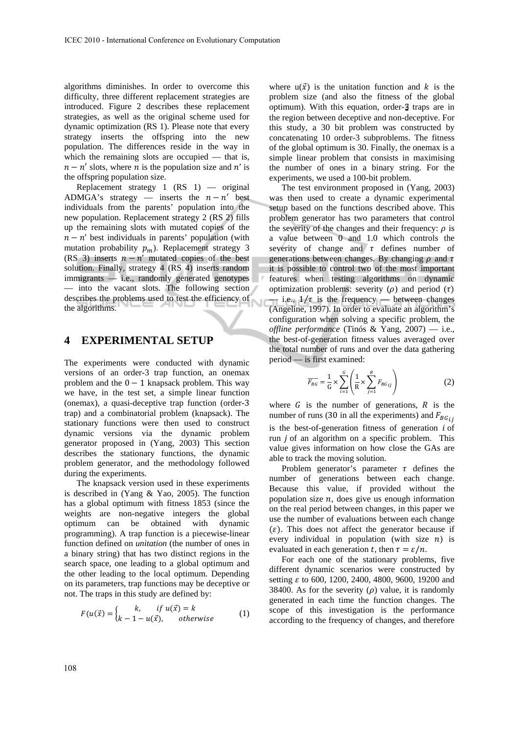algorithms diminishes. In order to overcome this difficulty, three different replacement strategies are introduced. Figure 2 describes these replacement strategies, as well as the original scheme used for dynamic optimization (RS 1). Please note that every strategy inserts the offspring into the new population. The differences reside in the way in which the remaining slots are occupied — that is,  $n - n'$  slots, where *n* is the population size and *n'* is the offspring population size.

Replacement strategy 1 (RS 1) — original ADMGA's strategy — inserts the  $n - n'$  best individuals from the parents' population into the new population. Replacement strategy 2 (RS 2) fills up the remaining slots with mutated copies of the  $n - n'$  best individuals in parents' population (with mutation probability  $p_m$ ). Replacement strategy 3 (RS 3) inserts  $n - n'$  mutated copies of the best solution. Finally, strategy 4 (RS 4) inserts random immigrants — i.e., randomly generated genotypes — into the vacant slots. The following section describes the problems used to test the efficiency of the algorithms.

### **4 EXPERIMENTAL SETUP**

The experiments were conducted with dynamic versions of an order-3 trap function, an onemax problem and the  $0-1$  knapsack problem. This way we have, in the test set, a simple linear function (onemax), a quasi-deceptive trap function (order-3 trap) and a combinatorial problem (knapsack). The stationary functions were then used to construct dynamic versions via the dynamic problem generator proposed in (Yang, 2003) This section describes the stationary functions, the dynamic problem generator, and the methodology followed during the experiments.

The knapsack version used in these experiments is described in (Yang & Yao, 2005). The function has a global optimum with fitness 1853 (since the weights are non-negative integers the global optimum can be obtained with dynamic programming). A trap function is a piecewise-linear function defined on *unitation* (the number of ones in a binary string) that has two distinct regions in the search space, one leading to a global optimum and the other leading to the local optimum. Depending on its parameters, trap functions may be deceptive or not. The traps in this study are defined by:

$$
F(u(\vec{x})) = \begin{cases} k, & if \ u(\vec{x}) = k \\ k - 1 - u(\vec{x}), & otherwise \end{cases}
$$
 (1)

where  $u(\vec{x})$  is the unitation function and k is the problem size (and also the fitness of the global optimum). With this equation, order-3 traps are in the region between deceptive and non-deceptive. For this study, a 30 bit problem was constructed by concatenating 10 order-3 subproblems. The fitness of the global optimum is 30. Finally, the onemax is a simple linear problem that consists in maximising the number of ones in a binary string. For the experiments, we used a 100-bit problem.

The test environment proposed in (Yang, 2003) was then used to create a dynamic experimental setup based on the functions described above. This problem generator has two parameters that control the severity of the changes and their frequency:  $\rho$  is a value between 0 and 1.0 which controls the severity of change and  $\tau$  defines number of generations between changes. By changing  $\rho$  and  $\tau$ it is possible to control two of the most important features when testing algorithms on dynamic optimization problems: severity ( $\rho$ ) and period ( $\tau$ ) — i.e.,  $1/\tau$  is the frequency — between changes (Angeline, 1997). In order to evaluate an algorithm's configuration when solving a specific problem, the *offline performance* (Tinós & Yang, 2007) — i.e., the best-of-generation fitness values averaged over the total number of runs and over the data gathering period — is first examined:

$$
\overline{F_{BG}} = \frac{1}{G} \times \sum_{i=1}^{G} \left( \frac{1}{R} \times \sum_{j=1}^{R} F_{BG_{ij}} \right)
$$
(2)

where  $G$  is the number of generations,  $R$  is the number of runs (30 in all the experiments) and  $F_{BG_{ij}}$ is the best-of-generation fitness of generation  $i$  of run  $j$  of an algorithm on a specific problem. This value gives information on how close the GAs are able to track the moving solution.

Problem generator's parameter  $\tau$  defines the number of generations between each change. Because this value, if provided without the population size  $n$ , does give us enough information on the real period between changes, in this paper we use the number of evaluations between each change  $(\varepsilon)$ . This does not affect the generator because if every individual in population (with size  $n$ ) is evaluated in each generation t, then  $\tau = \varepsilon/n$ .

For each one of the stationary problems, five different dynamic scenarios were constructed by setting  $\varepsilon$  to 600, 1200, 2400, 4800, 9600, 19200 and 38400. As for the severity  $(\rho)$  value, it is randomly generated in each time the function changes. The scope of this investigation is the performance according to the frequency of changes, and therefore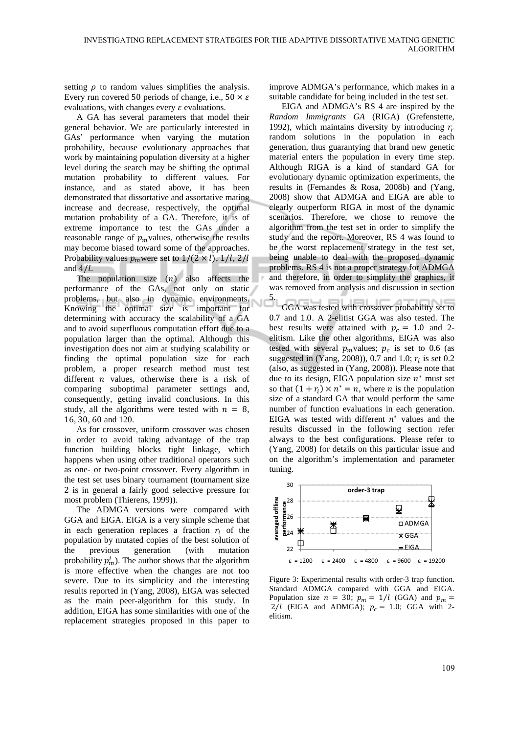setting  $\rho$  to random values simplifies the analysis. Every run covered 50 periods of change, i.e.,  $50 \times \varepsilon$ evaluations, with changes every  $\varepsilon$  evaluations.

A GA has several parameters that model their general behavior. We are particularly interested in GAs' performance when varying the mutation probability, because evolutionary approaches that work by maintaining population diversity at a higher level during the search may be shifting the optimal mutation probability to different values. For instance, and as stated above, it has been demonstrated that dissortative and assortative mating increase and decrease, respectively, the optimal mutation probability of a GA. Therefore, it is of extreme importance to test the GAs under a reasonable range of  $p_m$  values, otherwise the results may become biased toward some of the approaches. Probability values  $p_m$  were set to  $1/(2 \times l)$ ,  $1/l$ ,  $2/l$ and  $4/l$ .

The population size  $(n)$  also affects the performance of the GAs, not only on static problems, but also in dynamic environments. Knowing the optimal size is important for determining with accuracy the scalability of a GA and to avoid superfluous computation effort due to a population larger than the optimal. Although this investigation does not aim at studying scalability or finding the optimal population size for each problem, a proper research method must test different  $n$  values, otherwise there is a risk of comparing suboptimal parameter settings and, consequently, getting invalid conclusions. In this study, all the algorithms were tested with  $n = 8$ , 16, 30, 60 and 120.

As for crossover, uniform crossover was chosen in order to avoid taking advantage of the trap function building blocks tight linkage, which happens when using other traditional operators such as one- or two-point crossover. Every algorithm in the test set uses binary tournament (tournament size 2 is in general a fairly good selective pressure for most problem (Thierens, 1999)).

The ADMGA versions were compared with GGA and EIGA. EIGA is a very simple scheme that in each generation replaces a fraction  $r_i$  of the population by mutated copies of the best solution of the previous generation (with mutation probability  $p_m^i$ ). The author shows that the algorithm is more effective when the changes are not too severe. Due to its simplicity and the interesting results reported in (Yang, 2008), EIGA was selected as the main peer-algorithm for this study. In addition, EIGA has some similarities with one of the replacement strategies proposed in this paper to

improve ADMGA's performance, which makes in a suitable candidate for being included in the test set.

EIGA and ADMGA's RS 4 are inspired by the *Random Immigrants GA* (RIGA) (Grefenstette, 1992), which maintains diversity by introducing  $r_r$ random solutions in the population in each generation, thus guarantying that brand new genetic material enters the population in every time step. Although RIGA is a kind of standard GA for evolutionary dynamic optimization experiments, the results in (Fernandes & Rosa, 2008b) and (Yang, 2008) show that ADMGA and EIGA are able to clearly outperform RIGA in most of the dynamic scenarios. Therefore, we chose to remove the algorithm from the test set in order to simplify the study and the report. Moreover, RS 4 was found to be the worst replacement strategy in the test set, being unable to deal with the proposed dynamic problems. RS 4 is not a proper strategy for ADMGA and therefore, in order to simplify the graphics, it was removed from analysis and discussion in section 5.

GGA was tested with crossover probability set to 0.7 and 1.0. A 2-elitist GGA was also tested. The best results were attained with  $p_c = 1.0$  and 2elitism. Like the other algorithms, EIGA was also tested with several  $p_m$ values;  $p_c$  is set to 0.6 (as suggested in (Yang, 2008)), 0.7 and 1.0;  $r_i$  is set 0.2 (also, as suggested in (Yang, 2008)). Please note that due to its design, EIGA population size  $n^*$  must set so that  $(1 + r_i) \times n^* = n$ , where *n* is the population size of a standard GA that would perform the same number of function evaluations in each generation. EIGA was tested with different  $n^*$  values and the results discussed in the following section refer always to the best configurations. Please refer to (Yang, 2008) for details on this particular issue and on the algorithm's implementation and parameter tuning.



Figure 3: Experimental results with order-3 trap function. Standard ADMGA compared with GGA and EIGA. Population size  $n = 30$ ;  $p_m = 1/l$  (GGA) and  $p_m =$  $2/l$  (EIGA and ADMGA);  $p_c = 1.0$ ; GGA with 2elitism.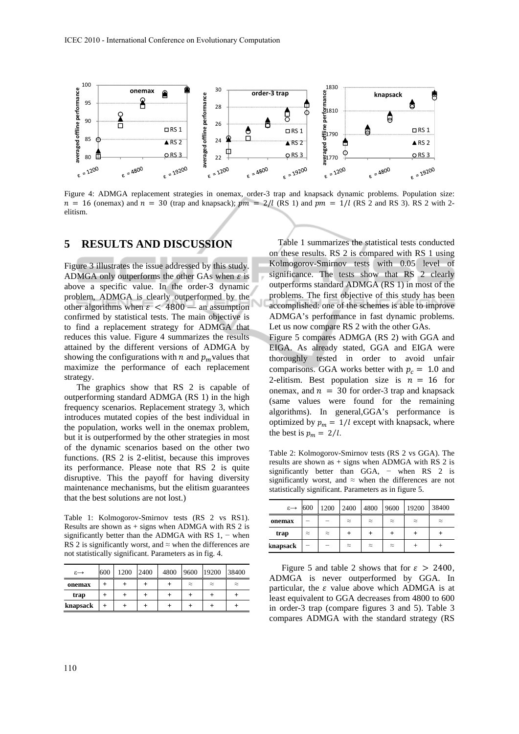

Figure 4: ADMGA replacement strategies in onemax, order-3 trap and knapsack dynamic problems. Population size:  $n = 16$  (onemax) and  $n = 30$  (trap and knapsack);  $pm = 2/l$  (RS 1) and  $pm = 1/l$  (RS 2 and RS 3). RS 2 with 2elitism.

### **5 RESULTS AND DISCUSSION**

Figure 3 illustrates the issue addressed by this study. ADMGA only outperforms the other GAs when  $\varepsilon$  is above a specific value. In the order-3 dynamic problem, ADMGA is clearly outperformed by the other algorithms when  $\varepsilon$  < 4800 — an assumption confirmed by statistical tests. The main objective is to find a replacement strategy for ADMGA that reduces this value. Figure 4 summarizes the results attained by the different versions of ADMGA by showing the configurations with  $n$  and  $p_m$  values that maximize the performance of each replacement strategy.

The graphics show that RS 2 is capable of outperforming standard ADMGA (RS 1) in the high frequency scenarios. Replacement strategy 3, which introduces mutated copies of the best individual in the population, works well in the onemax problem, but it is outperformed by the other strategies in most of the dynamic scenarios based on the other two functions. (RS 2 is 2-elitist, because this improves its performance. Please note that RS 2 is quite disruptive. This the payoff for having diversity maintenance mechanisms, but the elitism guarantees that the best solutions are not lost.)

Table 1: Kolmogorov-Smirnov tests (RS 2 vs RS1). Results are shown as  $+$  signs when ADMGA with RS 2 is significantly better than the ADMGA with RS  $1, -$  when RS 2 is significantly worst, and  $\approx$  when the differences are not statistically significant. Parameters as in fig. 4.

| $\varepsilon \rightarrow$ | 600 | 1200 | 2400 | 4800 |           | 9600 19200 | 38400     |
|---------------------------|-----|------|------|------|-----------|------------|-----------|
| onemax                    |     |      |      |      | $\approx$ | $\approx$  | $\approx$ |
| trap                      |     |      |      |      |           |            |           |
| knapsack                  |     |      |      |      |           |            |           |

Table 1 summarizes the statistical tests conducted on these results. RS 2 is compared with RS 1 using Kolmogorov-Smirnov tests with 0.05 level of significance. The tests show that RS 2 clearly outperforms standard ADMGA (RS 1) in most of the problems. The first objective of this study has been accomplished: one of the schemes is able to improve ADMGA's performance in fast dynamic problems. Let us now compare RS 2 with the other GAs.

Figure 5 compares ADMGA (RS 2) with GGA and EIGA. As already stated, GGA and EIGA were thoroughly tested in order to avoid unfair comparisons. GGA works better with  $p_c = 1.0$  and 2-elitism. Best population size is  $n = 16$  for onemax, and  $n = 30$  for order-3 trap and knapsack (same values were found for the remaining algorithms). In general,GGA's performance is optimized by  $p_m = 1/l$  except with knapsack, where the best is  $p_m = 2/l$ .

Table 2: Kolmogorov-Smirnov tests (RS 2 vs GGA). The results are shown as + signs when ADMGA with RS 2 is significantly better than GGA, − when RS 2 is significantly worst, and ≈ when the differences are not statistically significant. Parameters as in figure 5.

| $\leftarrow$ 3 | 600       | 1200      | 2400      | 4800      | 9600      | 19200     | 38400     |
|----------------|-----------|-----------|-----------|-----------|-----------|-----------|-----------|
| onemax         |           |           | $\approx$ | $\approx$ | $\approx$ | $\approx$ | $\approx$ |
| trap           | $\approx$ | $\approx$ |           |           |           |           |           |
| knapsack       |           |           | $\approx$ | $\approx$ | $\approx$ |           |           |

Figure 5 and table 2 shows that for  $\varepsilon > 2400$ , ADMGA is never outperformed by GGA. In particular, the  $\varepsilon$  value above which ADMGA is at least equivalent to GGA decreases from 4800 to 600 in order-3 trap (compare figures 3 and 5). Table 3 compares ADMGA with the standard strategy (RS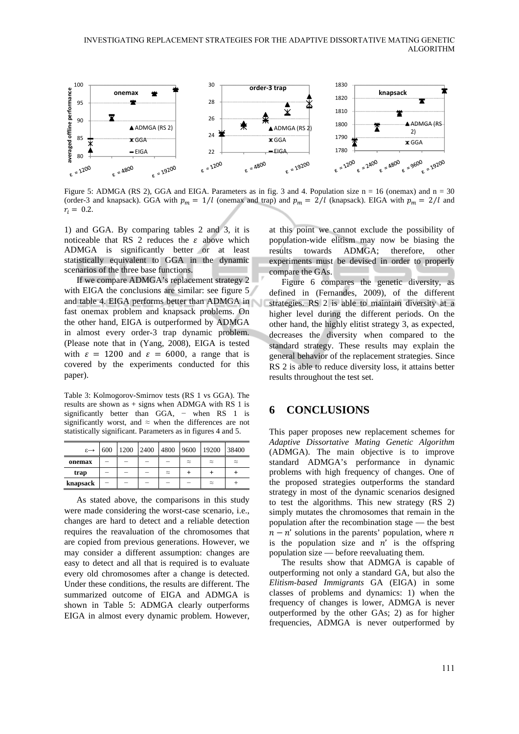

Figure 5: ADMGA (RS 2), GGA and EIGA. Parameters as in fig. 3 and 4. Population size  $n = 16$  (onemax) and  $n = 30$ (order-3 and knapsack). GGA with  $p_m = 1/l$  (onemax and trap) and  $p_m = 2/l$  (knapsack). EIGA with  $p_m = 2/l$  and  $r_i = 0.2$ .

1) and GGA. By comparing tables 2 and 3, it is noticeable that RS 2 reduces the  $\varepsilon$  above which ADMGA is significantly better or at least statistically equivalent to GGA in the dynamic scenarios of the three base functions.

If we compare ADMGA's replacement strategy 2 with EIGA the conclusions are similar: see figure 5 and table 4. EIGA performs better than ADMGA in fast onemax problem and knapsack problems. On the other hand, EIGA is outperformed by ADMGA in almost every order-3 trap dynamic problem. (Please note that in (Yang, 2008), EIGA is tested with  $\varepsilon = 1200$  and  $\varepsilon = 6000$ , a range that is covered by the experiments conducted for this paper).

Table 3: Kolmogorov-Smirnov tests (RS 1 vs GGA). The results are shown as + signs when ADMGA with RS 1 is significantly better than GGA, – when RS 1 is significantly worst, and  $\approx$  when the differences are not statistically significant. Parameters as in figures 4 and 5.

| $\varepsilon \rightarrow$ | 600 | 1200 2400 | 4800 9600 |           | 19200     | 38400     |
|---------------------------|-----|-----------|-----------|-----------|-----------|-----------|
| onemax                    |     |           |           | $\approx$ | $\approx$ | $\approx$ |
| trap                      |     |           | $\approx$ |           |           |           |
| knapsack                  |     |           |           |           | $\approx$ |           |

As stated above, the comparisons in this study were made considering the worst-case scenario, i.e., changes are hard to detect and a reliable detection requires the reavaluation of the chromosomes that are copied from previous generations. However, we may consider a different assumption: changes are easy to detect and all that is required is to evaluate every old chromosomes after a change is detected. Under these conditions, the results are different. The summarized outcome of EIGA and ADMGA is shown in Table 5: ADMGA clearly outperforms EIGA in almost every dynamic problem. However,

at this point we cannot exclude the possibility of population-wide elitism may now be biasing the results towards ADMGA; therefore, other experiments must be devised in order to properly compare the GAs.

Figure 6 compares the genetic diversity, as defined in (Fernandes, 2009), of the different strategies. RS 2 is able to maintain diversity at a higher level during the different periods. On the other hand, the highly elitist strategy 3, as expected, decreases the diversity when compared to the standard strategy. These results may explain the general behavior of the replacement strategies. Since RS 2 is able to reduce diversity loss, it attains better results throughout the test set.

### **6 CONCLUSIONS**

This paper proposes new replacement schemes for *Adaptive Dissortative Mating Genetic Algorithm*  (ADMGA). The main objective is to improve standard ADMGA's performance in dynamic problems with high frequency of changes. One of the proposed strategies outperforms the standard strategy in most of the dynamic scenarios designed to test the algorithms. This new strategy (RS 2) simply mutates the chromosomes that remain in the population after the recombination stage — the best  $n - n'$  solutions in the parents' population, where n is the population size and  $n'$  is the offspring population size — before reevaluating them.

The results show that ADMGA is capable of outperforming not only a standard GA, but also the *Elitism-based Immigrants* GA (EIGA) in some classes of problems and dynamics: 1) when the frequency of changes is lower, ADMGA is never outperformed by the other GAs; 2) as for higher frequencies, ADMGA is never outperformed by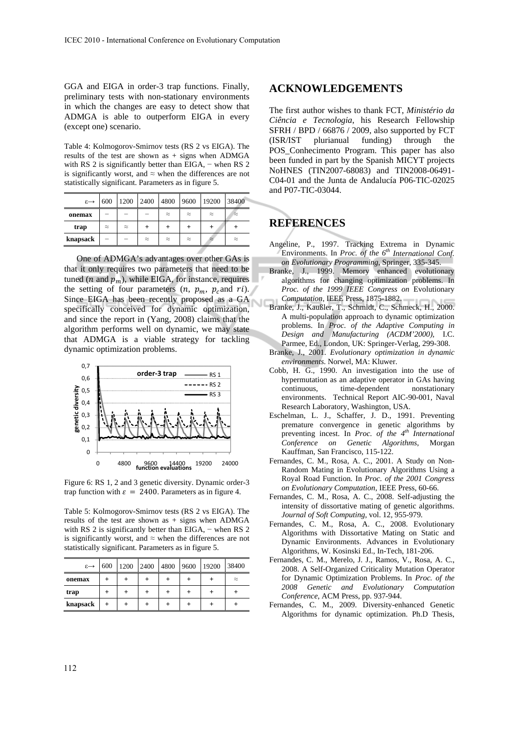GGA and EIGA in order-3 trap functions. Finally, preliminary tests with non-stationary environments in which the changes are easy to detect show that ADMGA is able to outperform EIGA in every (except one) scenario.

Table 4: Kolmogorov-Smirnov tests (RS 2 vs EIGA). The results of the test are shown as + signs when ADMGA with RS 2 is significantly better than EIGA, – when RS 2 is significantly worst, and  $\approx$  when the differences are not statistically significant. Parameters as in figure 5.

| $\varepsilon \rightarrow$ | 600       | 1200      | 2400      | 4800      | 9600      | 19200     | 38400     |
|---------------------------|-----------|-----------|-----------|-----------|-----------|-----------|-----------|
| onemax                    |           |           |           | $\approx$ | $\approx$ | $\approx$ | $\approx$ |
| trap                      | $\approx$ | $\approx$ |           |           |           |           |           |
| knapsack                  |           |           | $\approx$ | $\approx$ | $\approx$ | $\approx$ | $\approx$ |

One of ADMGA's advantages over other GAs is that it only requires two parameters that need to be tuned (*n* and  $p_m$ ), while EIGA, for instance, requires the setting of four parameters  $(n, p_m, p_c)$  and  $ri$ ). Since EIGA has been recently proposed as a GA specifically conceived for dynamic optimization, and since the report in (Yang, 2008) claims that the algorithm performs well on dynamic, we may state that ADMGA is a viable strategy for tackling dynamic optimization problems.



Figure 6: RS 1, 2 and 3 genetic diversity. Dynamic order-3 trap function with  $\varepsilon = 2400$ . Parameters as in figure 4.

Table 5: Kolmogorov-Smirnov tests (RS 2 vs EIGA). The results of the test are shown as  $+$  signs when ADMGA with RS 2 is significantly better than EIGA, – when RS 2 is significantly worst, and  $\approx$  when the differences are not statistically significant. Parameters as in figure 5.

| $\varepsilon \rightarrow$ | 600 | 1200 | 2400 | 4800 | 9600 | 19200 | 38400     |
|---------------------------|-----|------|------|------|------|-------|-----------|
| onemax                    |     |      |      |      |      |       | $\approx$ |
| trap                      |     |      |      |      |      |       |           |
| knapsack                  |     |      |      |      |      |       |           |

#### **ACKNOWLEDGEMENTS**

The first author wishes to thank FCT, *Ministério da Ciência e Tecnologia*, his Research Fellowship SFRH / BPD / 66876 / 2009, also supported by FCT (ISR/IST plurianual funding) through the POS\_Conhecimento Program. This paper has also been funded in part by the Spanish MICYT projects NoHNES (TIN2007-68083) and TIN2008-06491- C04-01 and the Junta de Andalucía P06-TIC-02025 and P07-TIC-03044.

### **REFERENCES**

- Angeline, P., 1997. Tracking Extrema in Dynamic Environments. In *Proc. of the 6<sup>th</sup> International Conf. on Evolutionary Programming*, Springer, 335-345.
- Branke, J., 1999. Memory enhanced evolutionary algorithms for changing optimization problems. In *Proc. of the 1999 IEEE Congress on* Evolutionary *Computation*, IEEE Press, 1875-1882.
- Branke, J., Kaußler, T., Schmidt, C., Schmeck, H., 2000. A multi-population approach to dynamic optimization problems. In *Proc. of the Adaptive Computing in Design and Manufacturing (ACDM'2000),* I.C. Parmee, Ed., London, UK: Springer-Verlag, 299-308.
- Branke, J., 2001. *Evolutionary optimization in dynamic environments*. Norwel, MA: Kluwer.
- Cobb, H. G., 1990. An investigation into the use of hypermutation as an adaptive operator in GAs having continuous, time-dependent nonstationary environments. Technical Report AIC-90-001, Naval Research Laboratory, Washington, USA.
- Eschelman, L. J., Schaffer, J. D., 1991. Preventing premature convergence in genetic algorithms by preventing incest. In *Proc. of the 4<sup>th</sup> International Conference on Genetic Algorithms*, Morgan Kauffman, San Francisco, 115-122.
- Fernandes, C. M., Rosa, A. C., 2001. A Study on Non-Random Mating in Evolutionary Algorithms Using a Royal Road Function. In *Proc. of the 2001 Congress on Evolutionary Computation*, IEEE Press, 60-66.
- Fernandes, C. M., Rosa, A. C., 2008. Self-adjusting the intensity of dissortative mating of genetic algorithms. *Journal of Soft Computing*, vol. 12, 955-979.
- Fernandes, C. M., Rosa, A. C., 2008. Evolutionary Algorithms with Dissortative Mating on Static and Dynamic Environments. Advances in Evolutionary Algorithms, W. Kosinski Ed., In-Tech, 181-206.
- Fernandes, C. M., Merelo, J. J., Ramos, V., Rosa, A. C., 2008. A Self-Organized Criticality Mutation Operator for Dynamic Optimization Problems. In *Proc. of the 2008 Genetic and Evolutionary Computation Conference*, ACM Press, pp. 937-944.
- Fernandes, C. M., 2009. Diversity-enhanced Genetic Algorithms for dynamic optimization. Ph.D Thesis,